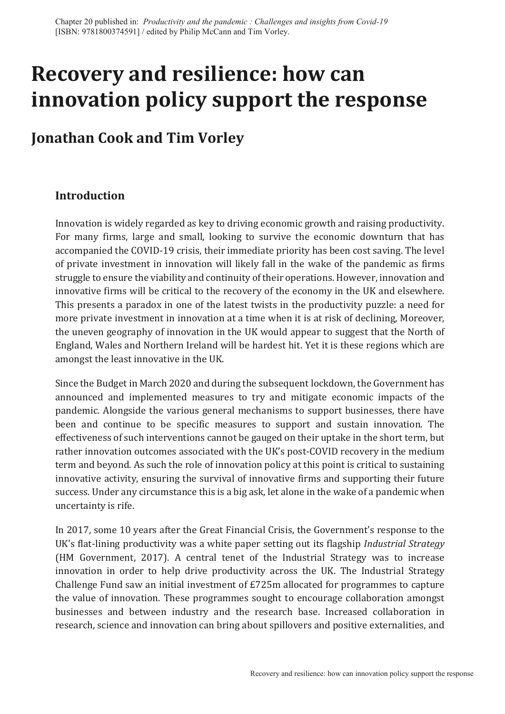# **Recovery and resilience: how can innovation policy support the response**

# **Jonathan Cook and Tim Vorley**

# **Introduction**

Innovation is widely regarded as key to driving economic growth and raising productivity. For many firms, large and small, looking to survive the economic downturn that has accompanied the COVID-19 crisis, their immediate priority has been cost saving. The level of private investment in innovation will likely fall in the wake of the pandemic as firms struggle to ensure the viability and continuity of their operations. However, innovation and innovative firms will be critical to the recovery of the economy in the UK and elsewhere. This presents a paradox in one of the latest twists in the productivity puzzle: a need for more private investment in innovation at a time when it is at risk of declining, Moreover, the uneven geography of innovation in the UK would appear to suggest that the North of England, Wales and Northern Ireland will be hardest hit. Yet it is these regions which are amongst the least innovative in the UK.

Since the Budget in March 2020 and during the subsequent lockdown, the Government has announced and implemented measures to try and mitigate economic impacts of the pandemic. Alongside the various general mechanisms to support businesses, there have been and continue to be specific measures to support and sustain innovation. The effectiveness of such interventions cannot be gauged on their uptake in the short term, but rather innovation outcomes associated with the UK's post-COVID recovery in the medium term and beyond. As such the role of innovation policy at this point is critical to sustaining innovative activity, ensuring the survival of innovative firms and supporting their future success. Under any circumstance this is a big ask, let alone in the wake of a pandemic when uncertainty is rife.

In 2017, some 10 years after the Great Financial Crisis, the Government's response to the UK's flat-lining productivity was a white paper setting out its flagship *Industrial Strategy* (HM Government, 2017). A central tenet of the Industrial Strategy was to increase innovation in order to help drive productivity across the UK. The Industrial Strategy Challenge Fund saw an initial investment of £725m allocated for programmes to capture the value of innovation. These programmes sought to encourage collaboration amongst businesses and between industry and the research base. Increased collaboration in research, science and innovation can bring about spillovers and positive externalities, and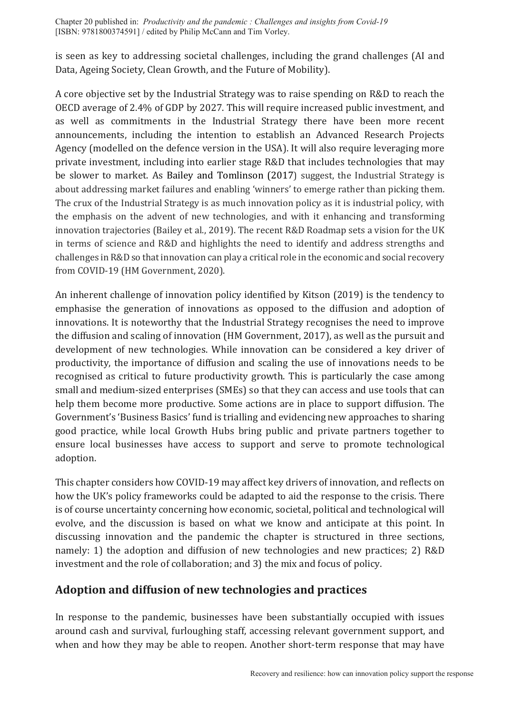is seen as key to addressing societal challenges, including the grand challenges (AI and Data, Ageing Society, Clean Growth, and the Future of Mobility).

A core objective set by the Industrial Strategy was to raise spending on R&D to reach the OECD average of 2.4% of GDP by 2027. This will require increased public investment, and as well as commitments in the Industrial Strategy there have been more recent announcements, including the intention to establish an Advanced Research Projects Agency (modelled on the defence version in the USA). It will also require leveraging more private investment, including into earlier stage R&D that includes technologies that may be slower to market. As Bailey and Tomlinson (2017) suggest, the Industrial Strategy is about addressing market failures and enabling 'winners' to emerge rather than picking them. The crux of the Industrial Strategy is as much innovation policy as it is industrial policy, with the emphasis on the advent of new technologies, and with it enhancing and transforming innovation trajectories (Bailey et al., 2019). The recent R&D Roadmap sets a vision for the UK in terms of science and R&D and highlights the need to identify and address strengths and challenges in R&D so that innovation can play a critical role in the economic and social recovery from COVID-19 (HM Government, 2020).

An inherent challenge of innovation policy identified by Kitson (2019) is the tendency to emphasise the generation of innovations as opposed to the diffusion and adoption of innovations. It is noteworthy that the Industrial Strategy recognises the need to improve the diffusion and scaling of innovation (HM Government, 2017), as well as the pursuit and development of new technologies. While innovation can be considered a key driver of productivity, the importance of diffusion and scaling the use of innovations needs to be recognised as critical to future productivity growth. This is particularly the case among small and medium-sized enterprises (SMEs) so that they can access and use tools that can help them become more productive. Some actions are in place to support diffusion. The Government's 'Business Basics' fund is trialling and evidencing new approaches to sharing good practice, while local Growth Hubs bring public and private partners together to ensure local businesses have access to support and serve to promote technological adoption.

This chapter considers how COVID-19 may affect key drivers of innovation, and reflects on how the UK's policy frameworks could be adapted to aid the response to the crisis. There is of course uncertainty concerning how economic, societal, political and technological will evolve, and the discussion is based on what we know and anticipate at this point. In discussing innovation and the pandemic the chapter is structured in three sections, namely: 1) the adoption and diffusion of new technologies and new practices; 2) R&D investment and the role of collaboration; and 3) the mix and focus of policy.

# **Adoption and diffusion of new technologies and practices**

In response to the pandemic, businesses have been substantially occupied with issues around cash and survival, furloughing staff, accessing relevant government support, and when and how they may be able to reopen. Another short-term response that may have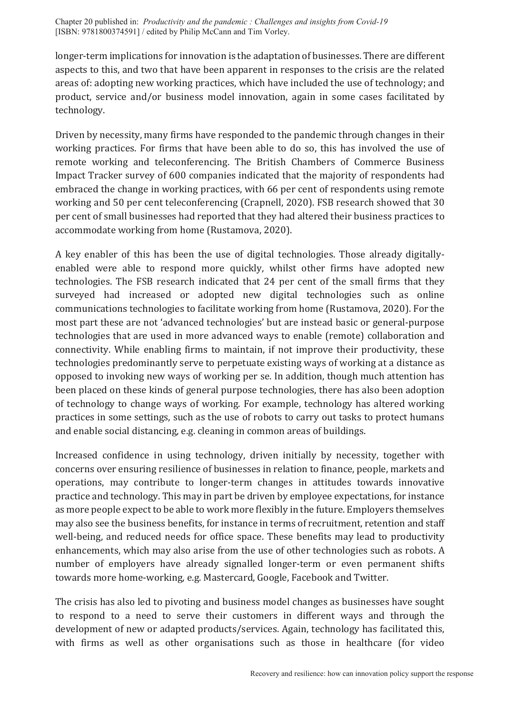longer-term implications for innovation is the adaptation of businesses. There are different aspects to this, and two that have been apparent in responses to the crisis are the related areas of: adopting new working practices, which have included the use of technology; and product, service and/or business model innovation, again in some cases facilitated by technology.

Driven by necessity, many firms have responded to the pandemic through changes in their working practices. For firms that have been able to do so, this has involved the use of remote working and teleconferencing. The British Chambers of Commerce Business Impact Tracker survey of 600 companies indicated that the majority of respondents had embraced the change in working practices, with 66 per cent of respondents using remote working and 50 per cent teleconferencing (Crapnell, 2020). FSB research showed that 30 per cent of small businesses had reported that they had altered their business practices to accommodate working from home (Rustamova, 2020).

A key enabler of this has been the use of digital technologies. Those already digitallyenabled were able to respond more quickly, whilst other firms have adopted new technologies. The FSB research indicated that 24 per cent of the small firms that they surveyed had increased or adopted new digital technologies such as online communications technologies to facilitate working from home (Rustamova, 2020). For the most part these are not 'advanced technologies' but are instead basic or general-purpose technologies that are used in more advanced ways to enable (remote) collaboration and connectivity. While enabling firms to maintain, if not improve their productivity, these technologies predominantly serve to perpetuate existing ways of working at a distance as opposed to invoking new ways of working per se. In addition, though much attention has been placed on these kinds of general purpose technologies, there has also been adoption of technology to change ways of working. For example, technology has altered working practices in some settings, such as the use of robots to carry out tasks to protect humans and enable social distancing, e.g. cleaning in common areas of buildings.

Increased confidence in using technology, driven initially by necessity, together with concerns over ensuring resilience of businesses in relation to finance, people, markets and operations, may contribute to longer-term changes in attitudes towards innovative practice and technology. This may in part be driven by employee expectations, for instance as more people expect to be able to work more flexibly in the future. Employers themselves may also see the business benefits, for instance in terms of recruitment, retention and staff well-being, and reduced needs for office space. These benefits may lead to productivity enhancements, which may also arise from the use of other technologies such as robots. A number of employers have already signalled longer-term or even permanent shifts towards more home-working, e.g. Mastercard, Google, Facebook and Twitter.

The crisis has also led to pivoting and business model changes as businesses have sought to respond to a need to serve their customers in different ways and through the development of new or adapted products/services. Again, technology has facilitated this, with firms as well as other organisations such as those in healthcare (for video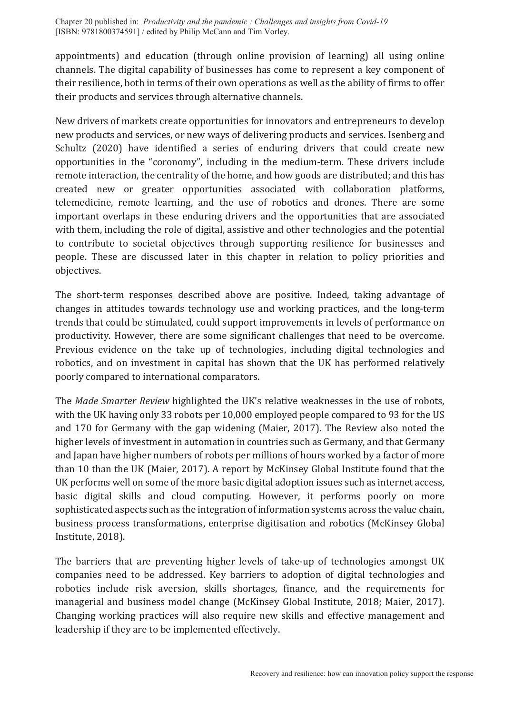appointments) and education (through online provision of learning) all using online channels. The digital capability of businesses has come to represent a key component of their resilience, both in terms of their own operations as well as the ability of firms to offer their products and services through alternative channels.

New drivers of markets create opportunities for innovators and entrepreneurs to develop new products and services, or new ways of delivering products and services. Isenberg and Schultz (2020) have identified a series of enduring drivers that could create new opportunities in the "coronomy", including in the medium-term. These drivers include remote interaction, the centrality of the home, and how goods are distributed; and this has created new or greater opportunities associated with collaboration platforms, telemedicine, remote learning, and the use of robotics and drones. There are some important overlaps in these enduring drivers and the opportunities that are associated with them, including the role of digital, assistive and other technologies and the potential to contribute to societal objectives through supporting resilience for businesses and people. These are discussed later in this chapter in relation to policy priorities and objectives.

The short-term responses described above are positive. Indeed, taking advantage of changes in attitudes towards technology use and working practices, and the long-term trends that could be stimulated, could support improvements in levels of performance on productivity. However, there are some significant challenges that need to be overcome. Previous evidence on the take up of technologies, including digital technologies and robotics, and on investment in capital has shown that the UK has performed relatively poorly compared to international comparators.

The *Made Smarter Review* highlighted the UK's relative weaknesses in the use of robots, with the UK having only 33 robots per 10,000 employed people compared to 93 for the US and 170 for Germany with the gap widening (Maier, 2017). The Review also noted the higher levels of investment in automation in countries such as Germany, and that Germany and Japan have higher numbers of robots per millions of hours worked by a factor of more than 10 than the UK (Maier, 2017). A report by McKinsey Global Institute found that the UK performs well on some of the more basic digital adoption issues such as internet access, basic digital skills and cloud computing. However, it performs poorly on more sophisticated aspects such as the integration of information systems across the value chain, business process transformations, enterprise digitisation and robotics (McKinsey Global Institute, 2018).

The barriers that are preventing higher levels of take-up of technologies amongst UK companies need to be addressed. Key barriers to adoption of digital technologies and robotics include risk aversion, skills shortages, finance, and the requirements for managerial and business model change (McKinsey Global Institute, 2018; Maier, 2017). Changing working practices will also require new skills and effective management and leadership if they are to be implemented effectively.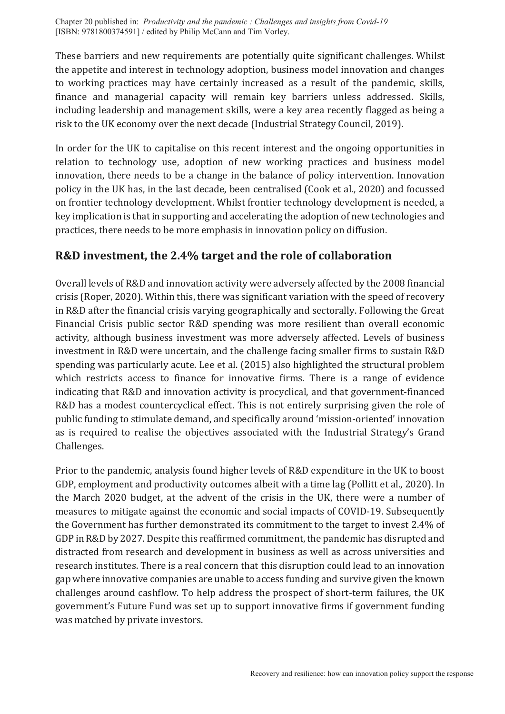These barriers and new requirements are potentially quite significant challenges. Whilst the appetite and interest in technology adoption, business model innovation and changes to working practices may have certainly increased as a result of the pandemic, skills, finance and managerial capacity will remain key barriers unless addressed. Skills, including leadership and management skills, were a key area recently flagged as being a risk to the UK economy over the next decade (Industrial Strategy Council, 2019).

In order for the UK to capitalise on this recent interest and the ongoing opportunities in relation to technology use, adoption of new working practices and business model innovation, there needs to be a change in the balance of policy intervention. Innovation policy in the UK has, in the last decade, been centralised (Cook et al., 2020) and focussed on frontier technology development. Whilst frontier technology development is needed, a key implication is that in supporting and accelerating the adoption of new technologies and practices, there needs to be more emphasis in innovation policy on diffusion.

#### **R&D investment, the 2.4% target and the role of collaboration**

Overall levels of R&D and innovation activity were adversely affected by the 2008 financial crisis (Roper, 2020). Within this, there was significant variation with the speed of recovery in R&D after the financial crisis varying geographically and sectorally. Following the Great Financial Crisis public sector R&D spending was more resilient than overall economic activity, although business investment was more adversely affected. Levels of business investment in R&D were uncertain, and the challenge facing smaller firms to sustain R&D spending was particularly acute. Lee et al. (2015) also highlighted the structural problem which restricts access to finance for innovative firms. There is a range of evidence indicating that R&D and innovation activity is procyclical, and that government-financed R&D has a modest countercyclical effect. This is not entirely surprising given the role of public funding to stimulate demand, and specifically around 'mission-oriented' innovation as is required to realise the objectives associated with the Industrial Strategy's Grand Challenges.

Prior to the pandemic, analysis found higher levels of R&D expenditure in the UK to boost GDP, employment and productivity outcomes albeit with a time lag (Pollitt et al., 2020). In the March 2020 budget, at the advent of the crisis in the UK, there were a number of measures to mitigate against the economic and social impacts of COVID-19. Subsequently the Government has further demonstrated its commitment to the target to invest 2.4% of GDP in R&D by 2027. Despite this reaffirmed commitment, the pandemic has disrupted and distracted from research and development in business as well as across universities and research institutes. There is a real concern that this disruption could lead to an innovation gap where innovative companies are unable to access funding and survive given the known challenges around cashflow. To help address the prospect of short-term failures, the UK government's Future Fund was set up to support innovative firms if government funding was matched by private investors.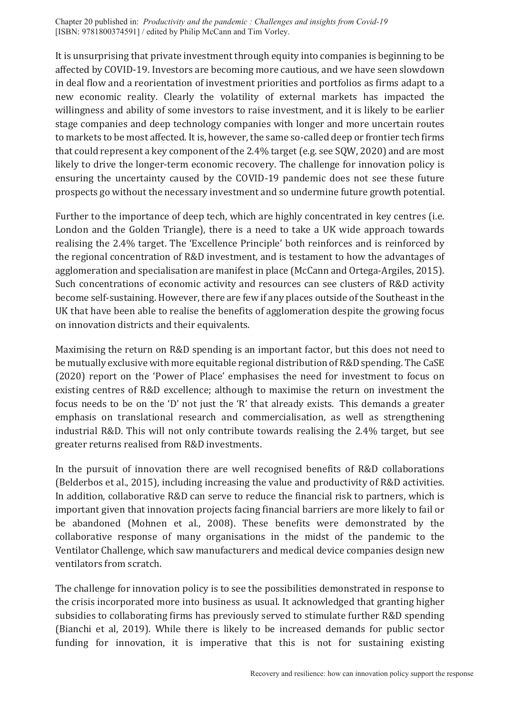It is unsurprising that private investment through equity into companies is beginning to be affected by COVID-19. Investors are becoming more cautious, and we have seen slowdown in deal flow and a reorientation of investment priorities and portfolios as firms adapt to a new economic reality. Clearly the volatility of external markets has impacted the willingness and ability of some investors to raise investment, and it is likely to be earlier stage companies and deep technology companies with longer and more uncertain routes to markets to be most affected. It is, however, the same so-called deep or frontier tech firms that could represent a key component of the 2.4% target (e.g. see SQW, 2020) and are most likely to drive the longer-term economic recovery. The challenge for innovation policy is ensuring the uncertainty caused by the COVID-19 pandemic does not see these future prospects go without the necessary investment and so undermine future growth potential.

Further to the importance of deep tech, which are highly concentrated in key centres (i.e. London and the Golden Triangle), there is a need to take a UK wide approach towards realising the 2.4% target. The 'Excellence Principle' both reinforces and is reinforced by the regional concentration of R&D investment, and is testament to how the advantages of agglomeration and specialisation are manifest in place (McCann and Ortega-Argiles, 2015). Such concentrations of economic activity and resources can see clusters of R&D activity become self-sustaining. However, there are few if any places outside of the Southeast in the UK that have been able to realise the benefits of agglomeration despite the growing focus on innovation districts and their equivalents.

Maximising the return on R&D spending is an important factor, but this does not need to be mutually exclusive with more equitable regional distribution of R&D spending. The CaSE (2020) report on the 'Power of Place' emphasises the need for investment to focus on existing centres of R&D excellence; although to maximise the return on investment the focus needs to be on the 'D' not just the 'R' that already exists. This demands a greater emphasis on translational research and commercialisation, as well as strengthening industrial R&D. This will not only contribute towards realising the 2.4% target, but see greater returns realised from R&D investments.

In the pursuit of innovation there are well recognised benefits of R&D collaborations (Belderbos et al., 2015), including increasing the value and productivity of R&D activities. In addition, collaborative R&D can serve to reduce the financial risk to partners, which is important given that innovation projects facing financial barriers are more likely to fail or be abandoned (Mohnen et al., 2008). These benefits were demonstrated by the collaborative response of many organisations in the midst of the pandemic to the Ventilator Challenge, which saw manufacturers and medical device companies design new ventilators from scratch.

The challenge for innovation policy is to see the possibilities demonstrated in response to the crisis incorporated more into business as usual. It acknowledged that granting higher subsidies to collaborating firms has previously served to stimulate further R&D spending (Bianchi et al, 2019). While there is likely to be increased demands for public sector funding for innovation, it is imperative that this is not for sustaining existing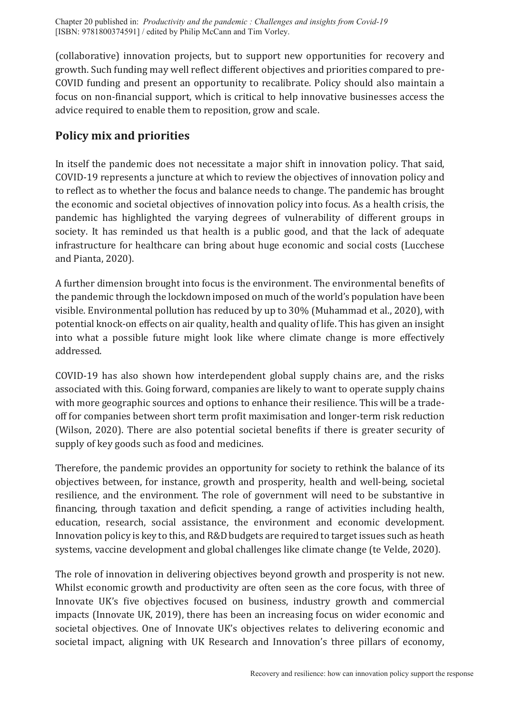(collaborative) innovation projects, but to support new opportunities for recovery and growth. Such funding may well reflect different objectives and priorities compared to pre-COVID funding and present an opportunity to recalibrate. Policy should also maintain a focus on non-financial support, which is critical to help innovative businesses access the advice required to enable them to reposition, grow and scale.

# **Policy mix and priorities**

In itself the pandemic does not necessitate a major shift in innovation policy. That said, COVID-19 represents a juncture at which to review the objectives of innovation policy and to reflect as to whether the focus and balance needs to change. The pandemic has brought the economic and societal objectives of innovation policy into focus. As a health crisis, the pandemic has highlighted the varying degrees of vulnerability of different groups in society. It has reminded us that health is a public good, and that the lack of adequate infrastructure for healthcare can bring about huge economic and social costs (Lucchese and Pianta, 2020).

A further dimension brought into focus is the environment. The environmental benefits of the pandemic through the lockdown imposed on much of the world's population have been visible. Environmental pollution has reduced by up to 30% (Muhammad et al., 2020), with potential knock-on effects on air quality, health and quality of life. This has given an insight into what a possible future might look like where climate change is more effectively addressed.

COVID-19 has also shown how interdependent global supply chains are, and the risks associated with this. Going forward, companies are likely to want to operate supply chains with more geographic sources and options to enhance their resilience. This will be a tradeoff for companies between short term profit maximisation and longer-term risk reduction (Wilson, 2020). There are also potential societal benefits if there is greater security of supply of key goods such as food and medicines.

Therefore, the pandemic provides an opportunity for society to rethink the balance of its objectives between, for instance, growth and prosperity, health and well-being, societal resilience, and the environment. The role of government will need to be substantive in financing, through taxation and deficit spending, a range of activities including health, education, research, social assistance, the environment and economic development. Innovation policy is key to this, and R&D budgets are required to target issues such as heath systems, vaccine development and global challenges like climate change (te Velde, 2020).

The role of innovation in delivering objectives beyond growth and prosperity is not new. Whilst economic growth and productivity are often seen as the core focus, with three of Innovate UK's five objectives focused on business, industry growth and commercial impacts (Innovate UK, 2019), there has been an increasing focus on wider economic and societal objectives. One of Innovate UK's objectives relates to delivering economic and societal impact, aligning with UK Research and Innovation's three pillars of economy,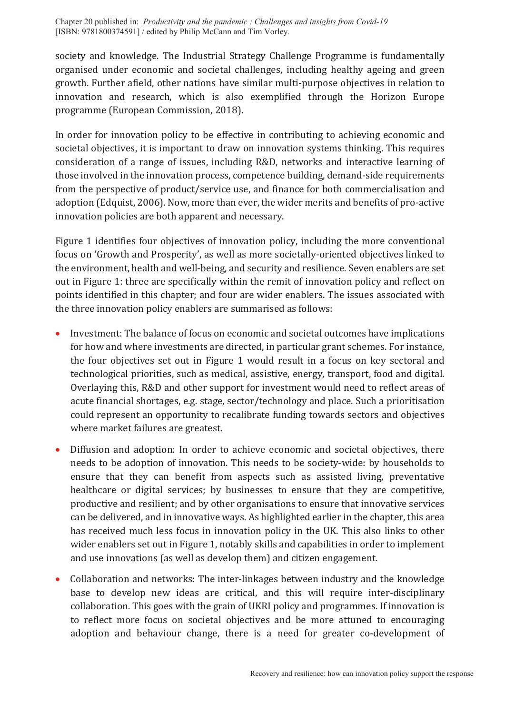society and knowledge. The Industrial Strategy Challenge Programme is fundamentally organised under economic and societal challenges, including healthy ageing and green growth. Further afield, other nations have similar multi-purpose objectives in relation to innovation and research, which is also exemplified through the Horizon Europe programme (European Commission, 2018).

In order for innovation policy to be effective in contributing to achieving economic and societal objectives, it is important to draw on innovation systems thinking. This requires consideration of a range of issues, including R&D, networks and interactive learning of those involved in the innovation process, competence building, demand-side requirements from the perspective of product/service use, and finance for both commercialisation and adoption (Edquist, 2006). Now, more than ever, the wider merits and benefits of pro-active innovation policies are both apparent and necessary.

[Figure 1](#page-8-0) identifies four objectives of innovation policy, including the more conventional focus on 'Growth and Prosperity', as well as more societally-oriented objectives linked to the environment, health and well-being, and security and resilience. Seven enablers are set out in [Figure 1:](#page-8-0) three are specifically within the remit of innovation policy and reflect on points identified in this chapter; and four are wider enablers. The issues associated with the three innovation policy enablers are summarised as follows:

- Investment: The balance of focus on economic and societal outcomes have implications for how and where investments are directed, in particular grant schemes. For instance, the four objectives set out in [Figure 1](#page-8-0) would result in a focus on key sectoral and technological priorities, such as medical, assistive, energy, transport, food and digital. Overlaying this, R&D and other support for investment would need to reflect areas of acute financial shortages, e.g. stage, sector/technology and place. Such a prioritisation could represent an opportunity to recalibrate funding towards sectors and objectives where market failures are greatest.
- Diffusion and adoption: In order to achieve economic and societal objectives, there needs to be adoption of innovation. This needs to be society-wide: by households to ensure that they can benefit from aspects such as assisted living, preventative healthcare or digital services; by businesses to ensure that they are competitive, productive and resilient; and by other organisations to ensure that innovative services can be delivered, and in innovative ways. As highlighted earlier in the chapter, this area has received much less focus in innovation policy in the UK. This also links to other wider enablers set out in [Figure 1,](#page-8-0) notably skills and capabilities in order to implement and use innovations (as well as develop them) and citizen engagement.
- Collaboration and networks: The inter-linkages between industry and the knowledge base to develop new ideas are critical, and this will require inter-disciplinary collaboration. This goes with the grain of UKRI policy and programmes. If innovation is to reflect more focus on societal objectives and be more attuned to encouraging adoption and behaviour change, there is a need for greater co-development of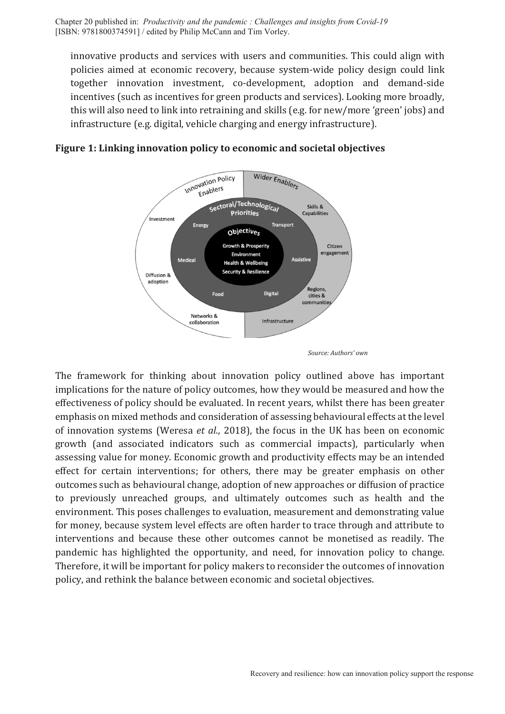innovative products and services with users and communities. This could align with policies aimed at economic recovery, because system-wide policy design could link together innovation investment, co-development, adoption and demand-side incentives (such as incentives for green products and services). Looking more broadly, this will also need to link into retraining and skills (e.g. for new/more 'green' jobs) and infrastructure (e.g. digital, vehicle charging and energy infrastructure).



<span id="page-8-0"></span>**Figure 1: Linking innovation policy to economic and societal objectives**

The framework for thinking about innovation policy outlined above has important implications for the nature of policy outcomes, how they would be measured and how the effectiveness of policy should be evaluated. In recent years, whilst there has been greater emphasis on mixed methods and consideration of assessing behavioural effects at the level of innovation systems (Weresa *et al.*, 2018), the focus in the UK has been on economic growth (and associated indicators such as commercial impacts), particularly when assessing value for money. Economic growth and productivity effects may be an intended effect for certain interventions; for others, there may be greater emphasis on other outcomes such as behavioural change, adoption of new approaches or diffusion of practice to previously unreached groups, and ultimately outcomes such as health and the environment. This poses challenges to evaluation, measurement and demonstrating value for money, because system level effects are often harder to trace through and attribute to interventions and because these other outcomes cannot be monetised as readily. The pandemic has highlighted the opportunity, and need, for innovation policy to change. Therefore, it will be important for policy makers to reconsider the outcomes of innovation policy, and rethink the balance between economic and societal objectives.

*Source: Authors' own*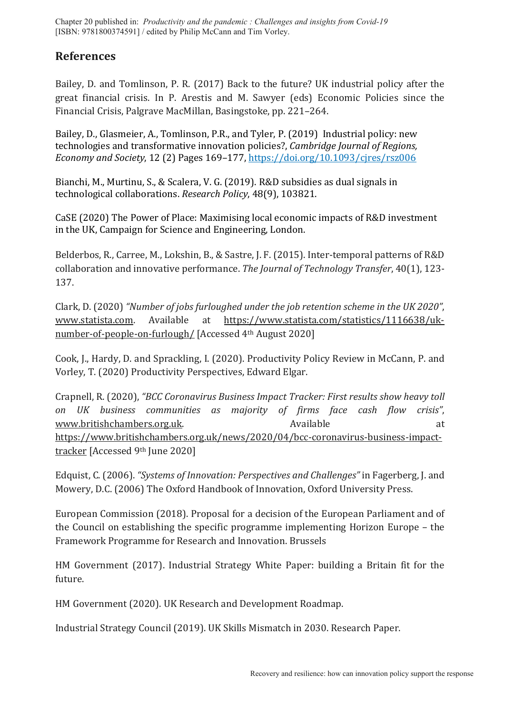### **References**

Bailey, D. and Tomlinson, P. R. (2017) Back to the future? UK industrial policy after the great financial crisis. In P. Arestis and M. Sawyer (eds) Economic Policies since the Financial Crisis, Palgrave MacMillan, Basingstoke, pp. 221–264.

Bailey, D., Glasmeier, A., Tomlinson, P.R., and Tyler, P. (2019) Industrial policy: new technologies and transformative innovation policies?, *Cambridge Journal of Regions, Economy and Society*, 12 (2) Pages 169–177, <https://doi.org/10.1093/cjres/rsz006>

Bianchi, M., Murtinu, S., & Scalera, V. G. (2019). R&D subsidies as dual signals in technological collaborations. *Research Policy*, 48(9), 103821.

CaSE (2020) The Power of Place: Maximising local economic impacts of R&D investment in the UK, Campaign for Science and Engineering, London.

Belderbos, R., Carree, M., Lokshin, B., & Sastre, J. F. (2015). Inter-temporal patterns of R&D collaboration and innovative performance. *The Journal of Technology Transfer*, 40(1), 123- 137.

Clark, D. (2020) *"Number of jobs furloughed under the job retention scheme in the UK 2020"*, [www.statista.com.](http://www.statista.com/) Available at [https://www.statista.com/statistics/1116638/uk](https://www.statista.com/statistics/1116638/uk-number-of-people-on-furlough/)[number-of-people-on-furlough/](https://www.statista.com/statistics/1116638/uk-number-of-people-on-furlough/) [Accessed 4th August 2020]

Cook, J., Hardy, D. and Sprackling, I. (2020). Productivity Policy Review in McCann, P. and Vorley, T. (2020) Productivity Perspectives, Edward Elgar.

Crapnell, R. (2020), *"BCC Coronavirus Business Impact Tracker: First results show heavy toll on UK business communities as majority of firms face cash flow crisis"*, [www.britishchambers.org.uk.](http://www.britishchambers.org.uk/) Available Available at [https://www.britishchambers.org.uk/news/2020/04/bcc-coronavirus-business-impact](https://www.britishchambers.org.uk/news/2020/04/bcc-coronavirus-business-impact-tracker)[tracker](https://www.britishchambers.org.uk/news/2020/04/bcc-coronavirus-business-impact-tracker) [Accessed 9th June 2020]

Edquist, C. (2006). *"Systems of Innovation: Perspectives and Challenges"* in Fagerberg, J. and Mowery, D.C. (2006) The Oxford Handbook of Innovation, Oxford University Press.

European Commission (2018). Proposal for a decision of the European Parliament and of the Council on establishing the specific programme implementing Horizon Europe – the Framework Programme for Research and Innovation. Brussels

HM Government (2017). Industrial Strategy White Paper: building a Britain fit for the future.

HM Government (2020). UK Research and Development Roadmap.

Industrial Strategy Council (2019). UK Skills Mismatch in 2030. Research Paper.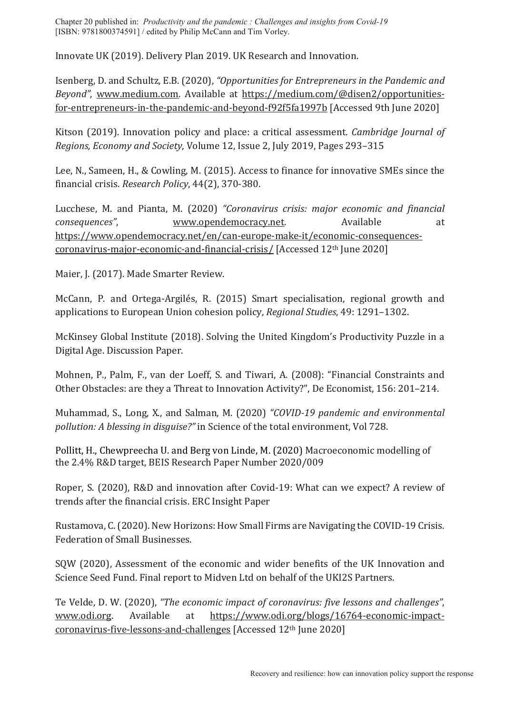Innovate UK (2019). Delivery Plan 2019. UK Research and Innovation.

Isenberg, D. and Schultz, E.B. (2020), *"Opportunities for Entrepreneurs in the Pandemic and Beyond"*, [www.medium.com.](http://www.medium.com/) Available at [https://medium.com/@disen2/opportunities](https://medium.com/@disen2/opportunities-for-entrepreneurs-in-the-pandemic-and-beyond-f92f5fa1997b)[for-entrepreneurs-in-the-pandemic-and-beyond-f92f5fa1997b](https://medium.com/@disen2/opportunities-for-entrepreneurs-in-the-pandemic-and-beyond-f92f5fa1997b) [Accessed 9th June 2020]

Kitson (2019). Innovation policy and place: a critical assessment. *Cambridge Journal of Regions, Economy and Society*, Volume 12, Issue 2, July 2019, Pages 293–315

Lee, N., Sameen, H., & Cowling, M. (2015). Access to finance for innovative SMEs since the financial crisis. *Research Policy*, 44(2), 370-380.

Lucchese, M. and Pianta, M. (2020) *"Coronavirus crisis: major economic and financial consequences"*, [www.opendemocracy.net.](http://www.opendemocracy.net/) Available at [https://www.opendemocracy.net/en/can-europe-make-it/economic-consequences](https://www.opendemocracy.net/en/can-europe-make-it/economic-consequences-coronavirus-major-economic-and-financial-crisis/)[coronavirus-major-economic-and-financial-crisis/](https://www.opendemocracy.net/en/can-europe-make-it/economic-consequences-coronavirus-major-economic-and-financial-crisis/) [Accessed 12th June 2020]

Maier, J. (2017). Made Smarter Review.

McCann, P. and Ortega-Argilés, R. (2015) Smart specialisation, regional growth and applications to European Union cohesion policy, *Regional Studies*, 49: 1291–1302.

McKinsey Global Institute (2018). Solving the United Kingdom's Productivity Puzzle in a Digital Age. Discussion Paper.

Mohnen, P., Palm, F., van der Loeff, S. and Tiwari, A. (2008): "Financial Constraints and Other Obstacles: are they a Threat to Innovation Activity?", De Economist, 156: 201–214.

Muhammad, S., Long, X., and Salman, M. (2020) *"COVID-19 pandemic and environmental pollution: A blessing in disguise?"* in Science of the total environment, Vol 728.

Pollitt, H., Chewpreecha U. and Berg von Linde, M. (2020) Macroeconomic modelling of the 2.4% R&D target, BEIS Research Paper Number 2020/009

Roper, S. (2020), R&D and innovation after Covid-19: What can we expect? A review of trends after the financial crisis. ERC Insight Paper

Rustamova, C. (2020). New Horizons: How Small Firms are Navigating the COVID-19 Crisis. Federation of Small Businesses.

SQW (2020), Assessment of the economic and wider benefits of the UK Innovation and Science Seed Fund. Final report to Midven Ltd on behalf of the UKI2S Partners.

Te Velde, D. W. (2020), *"The economic impact of coronavirus: five lessons and challenges"*, [www.odi.org.](http://www.odi.org/) Available at [https://www.odi.org/blogs/16764-economic-impact](https://www.odi.org/blogs/16764-economic-impact-coronavirus-five-lessons-and-challenges)[coronavirus-five-lessons-and-challenges](https://www.odi.org/blogs/16764-economic-impact-coronavirus-five-lessons-and-challenges) [Accessed 12th June 2020]